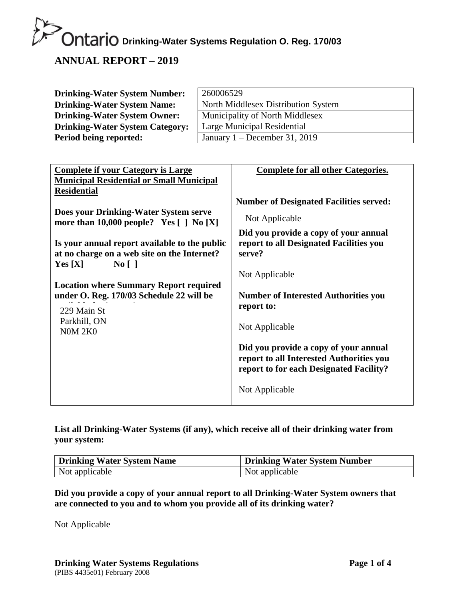## **Drinking-Water Systems Regulation O. Reg. 170/03**

### **ANNUAL REPORT – 2019**

| <b>Drinking-Water System Number:</b>   | 260006529                           |
|----------------------------------------|-------------------------------------|
| <b>Drinking-Water System Name:</b>     | North Middlesex Distribution System |
| <b>Drinking-Water System Owner:</b>    | Municipality of North Middlesex     |
| <b>Drinking-Water System Category:</b> | Large Municipal Residential         |
| Period being reported:                 | January $1 -$ December 31, 2019     |

| <b>Complete if your Category is Large</b>       | <b>Complete for all other Categories.</b>      |
|-------------------------------------------------|------------------------------------------------|
| <b>Municipal Residential or Small Municipal</b> |                                                |
| <b>Residential</b>                              |                                                |
|                                                 | <b>Number of Designated Facilities served:</b> |
| Does your Drinking-Water System serve           |                                                |
| more than 10,000 people? Yes [ ] No [X]         | Not Applicable                                 |
|                                                 | Did you provide a copy of your annual          |
| Is your annual report available to the public   | report to all Designated Facilities you        |
| at no charge on a web site on the Internet?     | serve?                                         |
| $\overline{N_0}$    <br>Yes $[X]$               |                                                |
|                                                 | Not Applicable                                 |
| <b>Location where Summary Report required</b>   |                                                |
| under O. Reg. 170/03 Schedule 22 will be        | <b>Number of Interested Authorities you</b>    |
| 229 Main St                                     | report to:                                     |
| Parkhill, ON                                    |                                                |
| <b>N0M 2K0</b>                                  | Not Applicable                                 |
|                                                 |                                                |
|                                                 | Did you provide a copy of your annual          |
|                                                 | report to all Interested Authorities you       |
|                                                 | report to for each Designated Facility?        |
|                                                 |                                                |
|                                                 | Not Applicable                                 |
|                                                 |                                                |

**List all Drinking-Water Systems (if any), which receive all of their drinking water from your system:**

| Drinking Water System Name | <b>Drinking Water System Number</b> |  |  |
|----------------------------|-------------------------------------|--|--|
| Not applicable             | Not applicable                      |  |  |

**Did you provide a copy of your annual report to all Drinking-Water System owners that are connected to you and to whom you provide all of its drinking water?** 

Not Applicable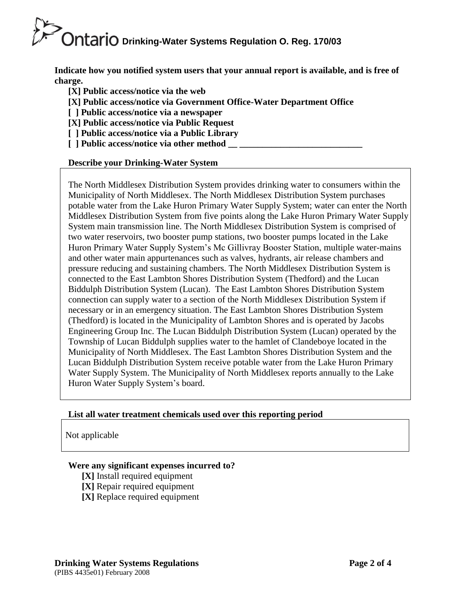# **Drinking-Water Systems Regulation O. Reg. 170/03**

**Indicate how you notified system users that your annual report is available, and is free of charge.** 

- **[X] Public access/notice via the web**
- **[X] Public access/notice via Government Office-Water Department Office**
- **[ ] Public access/notice via a newspaper**
- **[X] Public access/notice via Public Request**
- **[ ] Public access/notice via a Public Library**
- **[** ] Public access/notice via other method

### **Describe your Drinking-Water System**

The North Middlesex Distribution System provides drinking water to consumers within the Municipality of North Middlesex. The North Middlesex Distribution System purchases potable water from the Lake Huron Primary Water Supply System; water can enter the North Middlesex Distribution System from five points along the Lake Huron Primary Water Supply System main transmission line. The North Middlesex Distribution System is comprised of two water reservoirs, two booster pump stations, two booster pumps located in the Lake Huron Primary Water Supply System's Mc Gillivray Booster Station, multiple water-mains and other water main appurtenances such as valves, hydrants, air release chambers and pressure reducing and sustaining chambers. The North Middlesex Distribution System is connected to the East Lambton Shores Distribution System (Thedford) and the Lucan Biddulph Distribution System (Lucan). The East Lambton Shores Distribution System connection can supply water to a section of the North Middlesex Distribution System if necessary or in an emergency situation. The East Lambton Shores Distribution System (Thedford) is located in the Municipality of Lambton Shores and is operated by Jacobs Engineering Group Inc. The Lucan Biddulph Distribution System (Lucan) operated by the Township of Lucan Biddulph supplies water to the hamlet of Clandeboye located in the Municipality of North Middlesex. The East Lambton Shores Distribution System and the Lucan Biddulph Distribution System receive potable water from the Lake Huron Primary Water Supply System. The Municipality of North Middlesex reports annually to the Lake Huron Water Supply System's board.

### **List all water treatment chemicals used over this reporting period**

Not applicable

### **Were any significant expenses incurred to?**

- **[X]** Install required equipment
- **[X]** Repair required equipment
- **[X]** Replace required equipment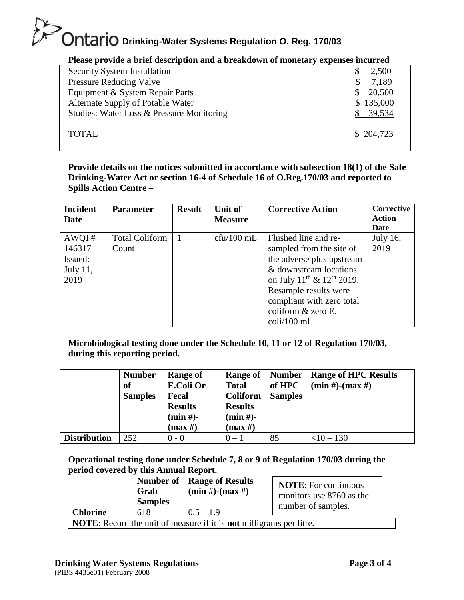## **CONTARTIO Drinking-Water Systems Regulation O. Reg. 170/03**

| Prease provide a brief description and a breakdown of monetary expenses incurred |               |
|----------------------------------------------------------------------------------|---------------|
| <b>Security System Installation</b>                                              | 2,500<br>S    |
| <b>Pressure Reducing Valve</b>                                                   | 7,189<br>S    |
| Equipment & System Repair Parts                                                  | 20,500<br>\$. |
| Alternate Supply of Potable Water                                                | \$135,000     |
| Studies: Water Loss & Pressure Monitoring                                        | 39,534        |
|                                                                                  |               |
| <b>TOTAL</b>                                                                     | \$204,723     |

### **Please provide a brief description and a breakdown of monetary expenses incurred**

**Provide details on the notices submitted in accordance with subsection 18(1) of the Safe Drinking-Water Act or section 16-4 of Schedule 16 of O.Reg.170/03 and reported to Spills Action Centre –** 

| <b>Incident</b> | <b>Parameter</b>      | <b>Result</b> | Unit of        | <b>Corrective Action</b>            | Corrective      |
|-----------------|-----------------------|---------------|----------------|-------------------------------------|-----------------|
| Date            |                       |               | <b>Measure</b> |                                     | <b>Action</b>   |
|                 |                       |               |                |                                     | Date            |
| AWQI#           | <b>Total Coliform</b> |               | $cfu/100$ mL   | Flushed line and re-                | <b>July 16,</b> |
| 146317          | Count                 |               |                | sampled from the site of            | 2019            |
| Issued:         |                       |               |                | the adverse plus upstream           |                 |
| <b>July 11,</b> |                       |               |                | & downstream locations              |                 |
| 2019            |                       |               |                | on July $11^{th}$ & $12^{th}$ 2019. |                 |
|                 |                       |               |                | Resample results were               |                 |
|                 |                       |               |                | compliant with zero total           |                 |
|                 |                       |               |                | coliform & zero E.                  |                 |
|                 |                       |               |                | $\frac{\text{coli}}{100}$ ml        |                 |

**Microbiological testing done under the Schedule 10, 11 or 12 of Regulation 170/03, during this reporting period.**

|                     | <b>Number</b>  | Range of         | Range of $\vert$ . | <b>Number</b>  | <b>Range of HPC Results</b> |
|---------------------|----------------|------------------|--------------------|----------------|-----------------------------|
|                     | of             | <b>E.Coli Or</b> | <b>Total</b>       | of HPC         | $(min #)$ - $(max #)$       |
|                     | <b>Samples</b> | Fecal            | Coliform           | <b>Samples</b> |                             |
|                     |                | <b>Results</b>   | <b>Results</b>     |                |                             |
|                     |                | $(min#)-$        | $(min#)-$          |                |                             |
|                     |                | (max H)          | (max H)            |                |                             |
| <b>Distribution</b> | 252            | $0 - 0$          | $0 - 1$            | 85             | $<10-130$                   |

**Operational testing done under Schedule 7, 8 or 9 of Regulation 170/03 during the period covered by this Annual Report.**

|                                                                                   | Grab<br><b>Samples</b> | Number of   Range of Results<br>$(min #)$ - $(max #)$ | <b>NOTE:</b> For continuous<br>monitors use 8760 as the<br>number of samples. |  |  |
|-----------------------------------------------------------------------------------|------------------------|-------------------------------------------------------|-------------------------------------------------------------------------------|--|--|
| Chlorine                                                                          | 618                    | $0.5 - 1.9$                                           |                                                                               |  |  |
| <b>NOTE:</b> Record the unit of measure if it is <b>not</b> milligrams per litre. |                        |                                                       |                                                                               |  |  |